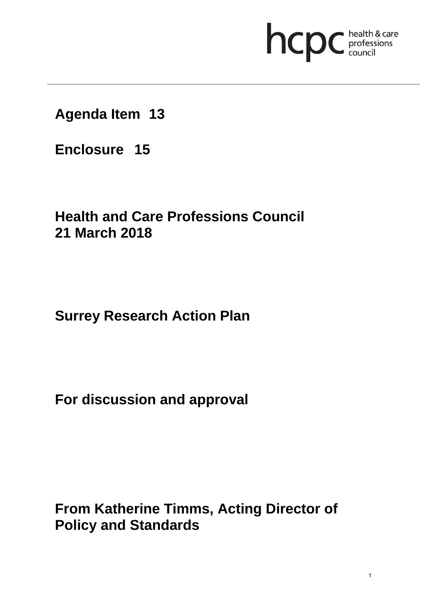# hcpc health & care

**Agenda Item 13**

**Enclosure 15**

# **Health and Care Professions Council 21 March 2018**

# **Surrey Research Action Plan**

**For discussion and approval**

**From Katherine Timms, Acting Director of Policy and Standards**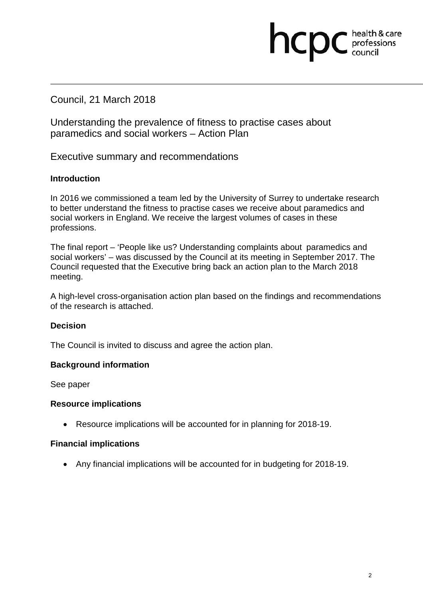## Council, 21 March 2018

Understanding the prevalence of fitness to practise cases about paramedics and social workers – Action Plan

Executive summary and recommendations

## **Introduction**

In 2016 we commissioned a team led by the University of Surrey to undertake research to better understand the fitness to practise cases we receive about paramedics and social workers in England. We receive the largest volumes of cases in these professions.

hcpc

health & care professions<br>council

The final report – 'People like us? Understanding complaints about paramedics and social workers' – was discussed by the Council at its meeting in September 2017. The Council requested that the Executive bring back an action plan to the March 2018 meeting.

A high-level cross-organisation action plan based on the findings and recommendations of the research is attached.

## **Decision**

The Council is invited to discuss and agree the action plan.

## **Background information**

See paper

## **Resource implications**

• Resource implications will be accounted for in planning for 2018-19.

## **Financial implications**

• Any financial implications will be accounted for in budgeting for 2018-19.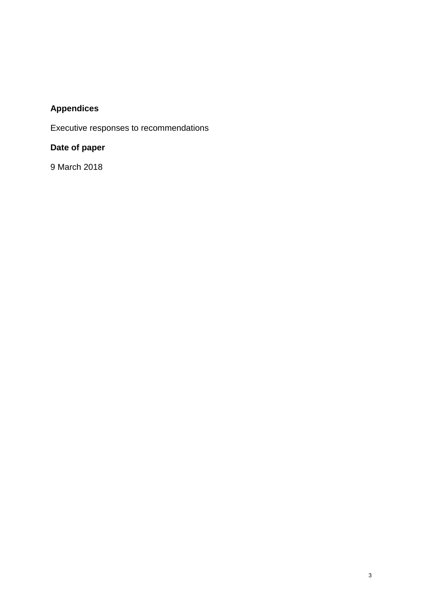## **Appendices**

Executive responses to recommendations

## **Date of paper**

9 March 2018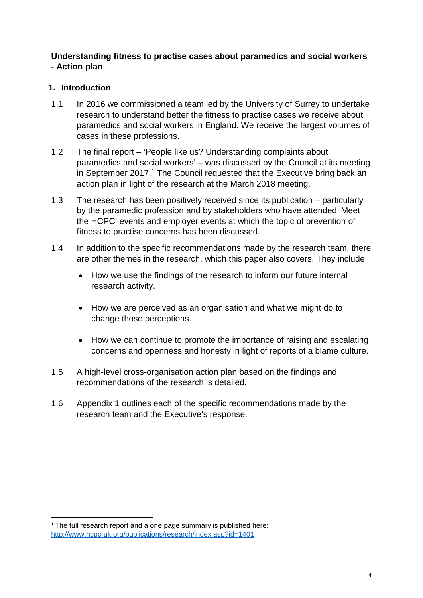## **Understanding fitness to practise cases about paramedics and social workers - Action plan**

## **1. Introduction**

- 1.1 In 2016 we commissioned a team led by the University of Surrey to undertake research to understand better the fitness to practise cases we receive about paramedics and social workers in England. We receive the largest volumes of cases in these professions.
- 1.2 The final report 'People like us? Understanding complaints about paramedics and social workers' – was discussed by the Council at its meeting in September 2017.<sup>1</sup> The Council requested that the Executive bring back an action plan in light of the research at the March 2018 meeting.
- 1.3 The research has been positively received since its publication particularly by the paramedic profession and by stakeholders who have attended 'Meet the HCPC' events and employer events at which the topic of prevention of fitness to practise concerns has been discussed.
- 1.4 In addition to the specific recommendations made by the research team, there are other themes in the research, which this paper also covers. They include.
	- How we use the findings of the research to inform our future internal research activity.
	- How we are perceived as an organisation and what we might do to change those perceptions.
	- How we can continue to promote the importance of raising and escalating concerns and openness and honesty in light of reports of a blame culture.
- 1.5 A high-level cross-organisation action plan based on the findings and recommendations of the research is detailed.
- 1.6 Appendix 1 outlines each of the specific recommendations made by the research team and the Executive's response.

 $\overline{a}$ 

<sup>&</sup>lt;sup>1</sup> The full research report and a one page summary is published here: http://www.hcpc-uk.org/publications/research/index.asp?id=1401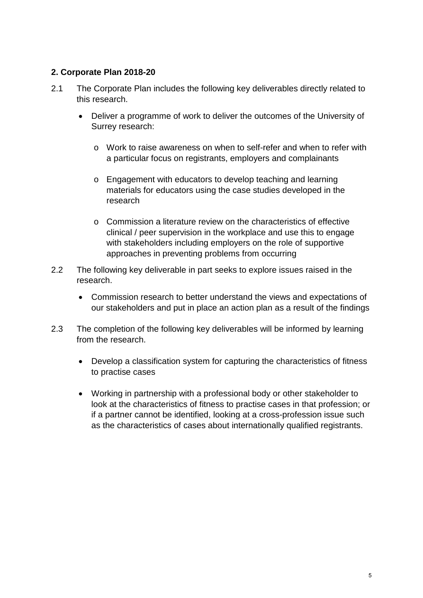## **2. Corporate Plan 2018-20**

- 2.1 The Corporate Plan includes the following key deliverables directly related to this research.
	- Deliver a programme of work to deliver the outcomes of the University of Surrey research:
		- o Work to raise awareness on when to self-refer and when to refer with a particular focus on registrants, employers and complainants
		- o Engagement with educators to develop teaching and learning materials for educators using the case studies developed in the research
		- o Commission a literature review on the characteristics of effective clinical / peer supervision in the workplace and use this to engage with stakeholders including employers on the role of supportive approaches in preventing problems from occurring
- 2.2 The following key deliverable in part seeks to explore issues raised in the research.
	- Commission research to better understand the views and expectations of our stakeholders and put in place an action plan as a result of the findings
- 2.3 The completion of the following key deliverables will be informed by learning from the research.
	- Develop a classification system for capturing the characteristics of fitness to practise cases
	- Working in partnership with a professional body or other stakeholder to look at the characteristics of fitness to practise cases in that profession; or if a partner cannot be identified, looking at a cross-profession issue such as the characteristics of cases about internationally qualified registrants.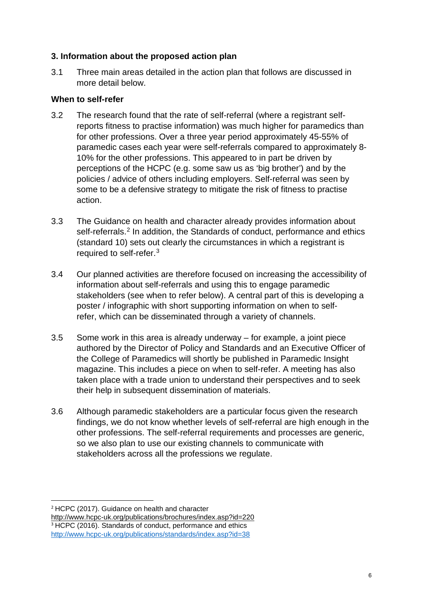## **3. Information about the proposed action plan**

3.1 Three main areas detailed in the action plan that follows are discussed in more detail below.

## **When to self-refer**

- 3.2 The research found that the rate of self-referral (where a registrant selfreports fitness to practise information) was much higher for paramedics than for other professions. Over a three year period approximately 45-55% of paramedic cases each year were self-referrals compared to approximately 8- 10% for the other professions. This appeared to in part be driven by perceptions of the HCPC (e.g. some saw us as 'big brother') and by the policies / advice of others including employers. Self-referral was seen by some to be a defensive strategy to mitigate the risk of fitness to practise action.
- 3.3 The Guidance on health and character already provides information about self-referrals. <sup>2</sup> In addition, the Standards of conduct, performance and ethics (standard 10) sets out clearly the circumstances in which a registrant is required to self-refer.3
- 3.4 Our planned activities are therefore focused on increasing the accessibility of information about self-referrals and using this to engage paramedic stakeholders (see when to refer below). A central part of this is developing a poster / infographic with short supporting information on when to selfrefer, which can be disseminated through a variety of channels.
- 3.5 Some work in this area is already underway for example, a joint piece authored by the Director of Policy and Standards and an Executive Officer of the College of Paramedics will shortly be published in Paramedic Insight magazine. This includes a piece on when to self-refer. A meeting has also taken place with a trade union to understand their perspectives and to seek their help in subsequent dissemination of materials.
- 3.6 Although paramedic stakeholders are a particular focus given the research findings, we do not know whether levels of self-referral are high enough in the other professions. The self-referral requirements and processes are generic, so we also plan to use our existing channels to communicate with stakeholders across all the professions we regulate.

**<sup>.</sup>** <sup>2</sup> HCPC (2017). Guidance on health and character

http://www.hcpc-uk.org/publications/brochures/index.asp?id=220

<sup>&</sup>lt;sup>3</sup> HCPC (2016). Standards of conduct, performance and ethics http://www.hcpc-uk.org/publications/standards/index.asp?id=38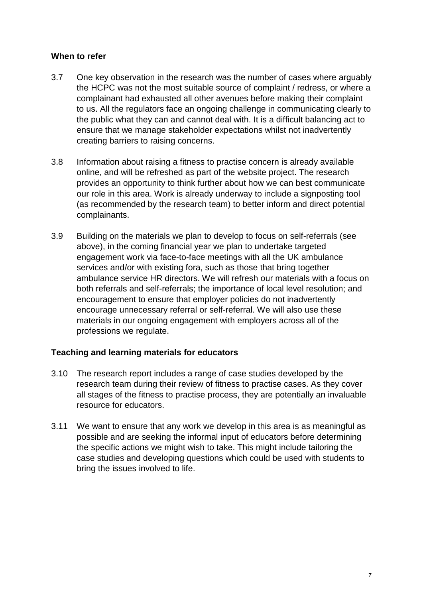## **When to refer**

- 3.7 One key observation in the research was the number of cases where arguably the HCPC was not the most suitable source of complaint / redress, or where a complainant had exhausted all other avenues before making their complaint to us. All the regulators face an ongoing challenge in communicating clearly to the public what they can and cannot deal with. It is a difficult balancing act to ensure that we manage stakeholder expectations whilst not inadvertently creating barriers to raising concerns.
- 3.8 Information about raising a fitness to practise concern is already available online, and will be refreshed as part of the website project. The research provides an opportunity to think further about how we can best communicate our role in this area. Work is already underway to include a signposting tool (as recommended by the research team) to better inform and direct potential complainants.
- 3.9 Building on the materials we plan to develop to focus on self-referrals (see above), in the coming financial year we plan to undertake targeted engagement work via face-to-face meetings with all the UK ambulance services and/or with existing fora, such as those that bring together ambulance service HR directors. We will refresh our materials with a focus on both referrals and self-referrals; the importance of local level resolution; and encouragement to ensure that employer policies do not inadvertently encourage unnecessary referral or self-referral. We will also use these materials in our ongoing engagement with employers across all of the professions we regulate.

## **Teaching and learning materials for educators**

- 3.10 The research report includes a range of case studies developed by the research team during their review of fitness to practise cases. As they cover all stages of the fitness to practise process, they are potentially an invaluable resource for educators.
- 3.11 We want to ensure that any work we develop in this area is as meaningful as possible and are seeking the informal input of educators before determining the specific actions we might wish to take. This might include tailoring the case studies and developing questions which could be used with students to bring the issues involved to life.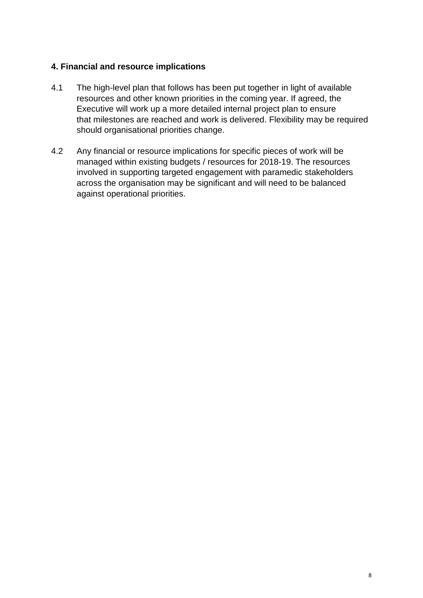## **4. Financial and resource implications**

- 4.1 The high-level plan that follows has been put together in light of available resources and other known priorities in the coming year. If agreed, the Executive will work up a more detailed internal project plan to ensure that milestones are reached and work is delivered. Flexibility may be required should organisational priorities change.
- 4.2 Any financial or resource implications for specific pieces of work will be managed within existing budgets / resources for 2018-19. The resources involved in supporting targeted engagement with paramedic stakeholders across the organisation may be significant and will need to be balanced against operational priorities.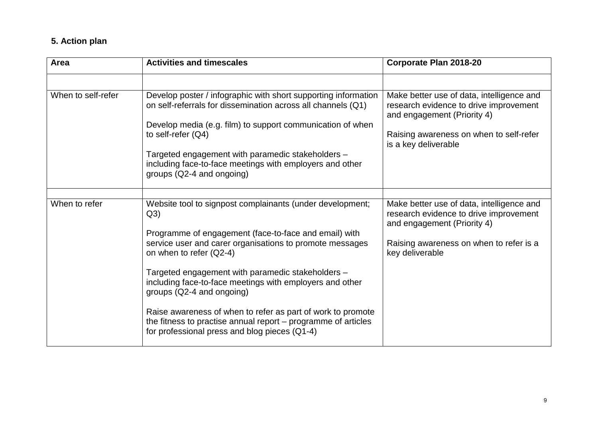## **5. Action plan**

| Area               | <b>Activities and timescales</b>                                                                                                                                                                                                                                                                                                                                                                                                                                                                                                                  | Corporate Plan 2018-20                                                                                                                                                                |
|--------------------|---------------------------------------------------------------------------------------------------------------------------------------------------------------------------------------------------------------------------------------------------------------------------------------------------------------------------------------------------------------------------------------------------------------------------------------------------------------------------------------------------------------------------------------------------|---------------------------------------------------------------------------------------------------------------------------------------------------------------------------------------|
|                    |                                                                                                                                                                                                                                                                                                                                                                                                                                                                                                                                                   |                                                                                                                                                                                       |
| When to self-refer | Develop poster / infographic with short supporting information<br>on self-referrals for dissemination across all channels (Q1)<br>Develop media (e.g. film) to support communication of when<br>to self-refer $(Q4)$<br>Targeted engagement with paramedic stakeholders -<br>including face-to-face meetings with employers and other<br>groups (Q2-4 and ongoing)                                                                                                                                                                                | Make better use of data, intelligence and<br>research evidence to drive improvement<br>and engagement (Priority 4)<br>Raising awareness on when to self-refer<br>is a key deliverable |
|                    |                                                                                                                                                                                                                                                                                                                                                                                                                                                                                                                                                   |                                                                                                                                                                                       |
| When to refer      | Website tool to signpost complainants (under development;<br>Q3)<br>Programme of engagement (face-to-face and email) with<br>service user and carer organisations to promote messages<br>on when to refer (Q2-4)<br>Targeted engagement with paramedic stakeholders -<br>including face-to-face meetings with employers and other<br>groups (Q2-4 and ongoing)<br>Raise awareness of when to refer as part of work to promote<br>the fitness to practise annual report $-$ programme of articles<br>for professional press and blog pieces (Q1-4) | Make better use of data, intelligence and<br>research evidence to drive improvement<br>and engagement (Priority 4)<br>Raising awareness on when to refer is a<br>key deliverable      |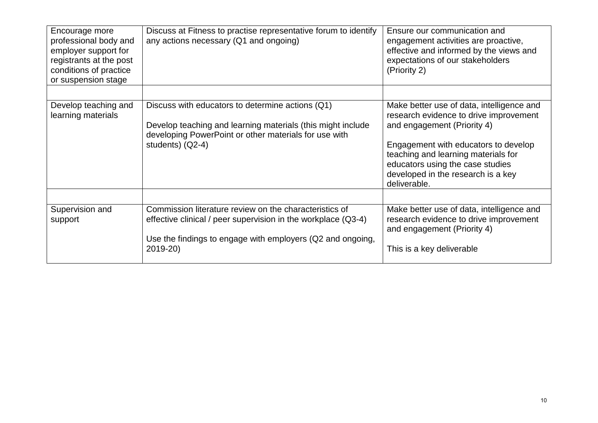| Encourage more<br>professional body and<br>employer support for<br>registrants at the post<br>conditions of practice<br>or suspension stage | Discuss at Fitness to practise representative forum to identify<br>any actions necessary (Q1 and ongoing)                                                                                         | Ensure our communication and<br>engagement activities are proactive,<br>effective and informed by the views and<br>expectations of our stakeholders<br>(Priority 2)                                                                                                                         |
|---------------------------------------------------------------------------------------------------------------------------------------------|---------------------------------------------------------------------------------------------------------------------------------------------------------------------------------------------------|---------------------------------------------------------------------------------------------------------------------------------------------------------------------------------------------------------------------------------------------------------------------------------------------|
| Develop teaching and<br>learning materials                                                                                                  | Discuss with educators to determine actions (Q1)<br>Develop teaching and learning materials (this might include<br>developing PowerPoint or other materials for use with<br>students) $(Q2-4)$    | Make better use of data, intelligence and<br>research evidence to drive improvement<br>and engagement (Priority 4)<br>Engagement with educators to develop<br>teaching and learning materials for<br>educators using the case studies<br>developed in the research is a key<br>deliverable. |
| Supervision and<br>support                                                                                                                  | Commission literature review on the characteristics of<br>effective clinical / peer supervision in the workplace (Q3-4)<br>Use the findings to engage with employers (Q2 and ongoing,<br>2019-20) | Make better use of data, intelligence and<br>research evidence to drive improvement<br>and engagement (Priority 4)<br>This is a key deliverable                                                                                                                                             |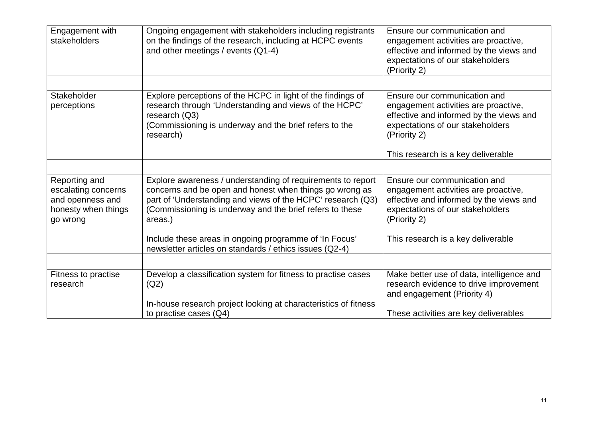| Engagement with<br>stakeholders                                                             | Ongoing engagement with stakeholders including registrants<br>on the findings of the research, including at HCPC events<br>and other meetings / events (Q1-4)                                                                                                | Ensure our communication and<br>engagement activities are proactive,<br>effective and informed by the views and<br>expectations of our stakeholders<br>(Priority 2) |
|---------------------------------------------------------------------------------------------|--------------------------------------------------------------------------------------------------------------------------------------------------------------------------------------------------------------------------------------------------------------|---------------------------------------------------------------------------------------------------------------------------------------------------------------------|
|                                                                                             |                                                                                                                                                                                                                                                              |                                                                                                                                                                     |
| Stakeholder<br>perceptions                                                                  | Explore perceptions of the HCPC in light of the findings of<br>research through 'Understanding and views of the HCPC'<br>research $(Q3)$<br>(Commissioning is underway and the brief refers to the<br>research)                                              | Ensure our communication and<br>engagement activities are proactive,<br>effective and informed by the views and<br>expectations of our stakeholders<br>(Priority 2) |
|                                                                                             |                                                                                                                                                                                                                                                              | This research is a key deliverable                                                                                                                                  |
|                                                                                             |                                                                                                                                                                                                                                                              |                                                                                                                                                                     |
| Reporting and<br>escalating concerns<br>and openness and<br>honesty when things<br>go wrong | Explore awareness / understanding of requirements to report<br>concerns and be open and honest when things go wrong as<br>part of 'Understanding and views of the HCPC' research (Q3)<br>(Commissioning is underway and the brief refers to these<br>areas.) | Ensure our communication and<br>engagement activities are proactive,<br>effective and informed by the views and<br>expectations of our stakeholders<br>(Priority 2) |
|                                                                                             | Include these areas in ongoing programme of 'In Focus'<br>newsletter articles on standards / ethics issues (Q2-4)                                                                                                                                            | This research is a key deliverable                                                                                                                                  |
|                                                                                             |                                                                                                                                                                                                                                                              |                                                                                                                                                                     |
| Fitness to practise<br>research                                                             | Develop a classification system for fitness to practise cases<br>(Q2)                                                                                                                                                                                        | Make better use of data, intelligence and<br>research evidence to drive improvement<br>and engagement (Priority 4)                                                  |
|                                                                                             | In-house research project looking at characteristics of fitness<br>to practise cases $(Q4)$                                                                                                                                                                  | These activities are key deliverables                                                                                                                               |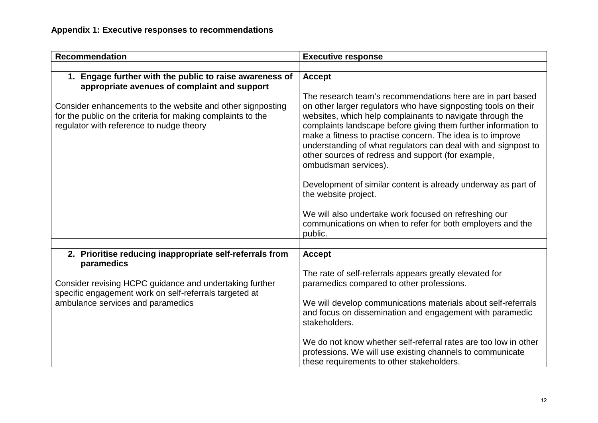| <b>Recommendation</b>                                                                                                                                                 | <b>Executive response</b>                                                                                                                                                                                                                                                                                                                                                                                                                                                 |  |
|-----------------------------------------------------------------------------------------------------------------------------------------------------------------------|---------------------------------------------------------------------------------------------------------------------------------------------------------------------------------------------------------------------------------------------------------------------------------------------------------------------------------------------------------------------------------------------------------------------------------------------------------------------------|--|
|                                                                                                                                                                       |                                                                                                                                                                                                                                                                                                                                                                                                                                                                           |  |
| 1. Engage further with the public to raise awareness of<br>appropriate avenues of complaint and support                                                               | <b>Accept</b>                                                                                                                                                                                                                                                                                                                                                                                                                                                             |  |
| Consider enhancements to the website and other signposting<br>for the public on the criteria for making complaints to the<br>regulator with reference to nudge theory | The research team's recommendations here are in part based<br>on other larger regulators who have signposting tools on their<br>websites, which help complainants to navigate through the<br>complaints landscape before giving them further information to<br>make a fitness to practise concern. The idea is to improve<br>understanding of what regulators can deal with and signpost to<br>other sources of redress and support (for example,<br>ombudsman services). |  |
|                                                                                                                                                                       | Development of similar content is already underway as part of<br>the website project.                                                                                                                                                                                                                                                                                                                                                                                     |  |
|                                                                                                                                                                       | We will also undertake work focused on refreshing our<br>communications on when to refer for both employers and the<br>public.                                                                                                                                                                                                                                                                                                                                            |  |
|                                                                                                                                                                       |                                                                                                                                                                                                                                                                                                                                                                                                                                                                           |  |
| 2. Prioritise reducing inappropriate self-referrals from<br>paramedics                                                                                                | <b>Accept</b>                                                                                                                                                                                                                                                                                                                                                                                                                                                             |  |
| Consider revising HCPC guidance and undertaking further<br>specific engagement work on self-referrals targeted at<br>ambulance services and paramedics                | The rate of self-referrals appears greatly elevated for<br>paramedics compared to other professions.<br>We will develop communications materials about self-referrals                                                                                                                                                                                                                                                                                                     |  |
|                                                                                                                                                                       | and focus on dissemination and engagement with paramedic<br>stakeholders.                                                                                                                                                                                                                                                                                                                                                                                                 |  |
|                                                                                                                                                                       | We do not know whether self-referral rates are too low in other<br>professions. We will use existing channels to communicate<br>these requirements to other stakeholders.                                                                                                                                                                                                                                                                                                 |  |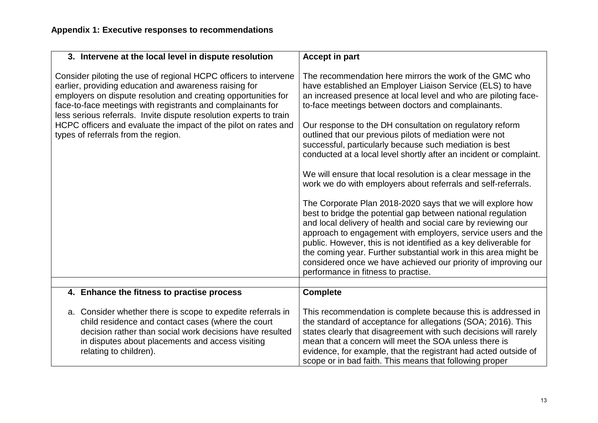| 3. Intervene at the local level in dispute resolution                                                                                                                                                                                                                                                                                                                                                                                       | <b>Accept in part</b>                                                                                                                                                                                                                                                                                                                                                                                                                                                                                                                                                                                                                                                                                                                                                                                                                                                                                                                                                                                                                                                                                                                                    |
|---------------------------------------------------------------------------------------------------------------------------------------------------------------------------------------------------------------------------------------------------------------------------------------------------------------------------------------------------------------------------------------------------------------------------------------------|----------------------------------------------------------------------------------------------------------------------------------------------------------------------------------------------------------------------------------------------------------------------------------------------------------------------------------------------------------------------------------------------------------------------------------------------------------------------------------------------------------------------------------------------------------------------------------------------------------------------------------------------------------------------------------------------------------------------------------------------------------------------------------------------------------------------------------------------------------------------------------------------------------------------------------------------------------------------------------------------------------------------------------------------------------------------------------------------------------------------------------------------------------|
| Consider piloting the use of regional HCPC officers to intervene<br>earlier, providing education and awareness raising for<br>employers on dispute resolution and creating opportunities for<br>face-to-face meetings with registrants and complainants for<br>less serious referrals. Invite dispute resolution experts to train<br>HCPC officers and evaluate the impact of the pilot on rates and<br>types of referrals from the region. | The recommendation here mirrors the work of the GMC who<br>have established an Employer Liaison Service (ELS) to have<br>an increased presence at local level and who are piloting face-<br>to-face meetings between doctors and complainants.<br>Our response to the DH consultation on regulatory reform<br>outlined that our previous pilots of mediation were not<br>successful, particularly because such mediation is best<br>conducted at a local level shortly after an incident or complaint.<br>We will ensure that local resolution is a clear message in the<br>work we do with employers about referrals and self-referrals.<br>The Corporate Plan 2018-2020 says that we will explore how<br>best to bridge the potential gap between national regulation<br>and local delivery of health and social care by reviewing our<br>approach to engagement with employers, service users and the<br>public. However, this is not identified as a key deliverable for<br>the coming year. Further substantial work in this area might be<br>considered once we have achieved our priority of improving our<br>performance in fitness to practise. |
|                                                                                                                                                                                                                                                                                                                                                                                                                                             |                                                                                                                                                                                                                                                                                                                                                                                                                                                                                                                                                                                                                                                                                                                                                                                                                                                                                                                                                                                                                                                                                                                                                          |
| 4. Enhance the fitness to practise process                                                                                                                                                                                                                                                                                                                                                                                                  | <b>Complete</b>                                                                                                                                                                                                                                                                                                                                                                                                                                                                                                                                                                                                                                                                                                                                                                                                                                                                                                                                                                                                                                                                                                                                          |
| a. Consider whether there is scope to expedite referrals in<br>child residence and contact cases (where the court<br>decision rather than social work decisions have resulted<br>in disputes about placements and access visiting<br>relating to children).                                                                                                                                                                                 | This recommendation is complete because this is addressed in<br>the standard of acceptance for allegations (SOA; 2016). This<br>states clearly that disagreement with such decisions will rarely<br>mean that a concern will meet the SOA unless there is<br>evidence, for example, that the registrant had acted outside of<br>scope or in bad faith. This means that following proper                                                                                                                                                                                                                                                                                                                                                                                                                                                                                                                                                                                                                                                                                                                                                                  |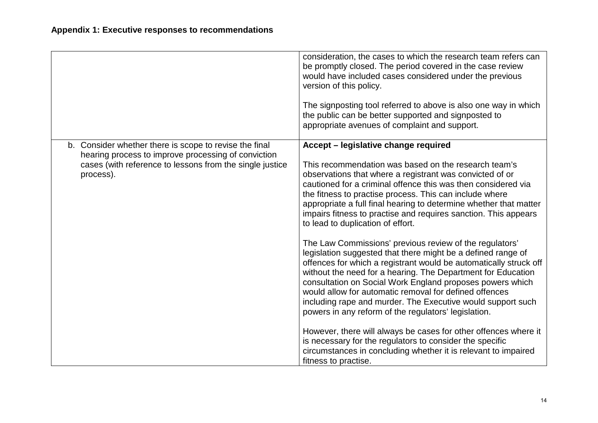|                                                                                                                                                                                        | consideration, the cases to which the research team refers can<br>be promptly closed. The period covered in the case review<br>would have included cases considered under the previous<br>version of this policy.<br>The signposting tool referred to above is also one way in which<br>the public can be better supported and signposted to<br>appropriate avenues of complaint and support.                                                                                                              |
|----------------------------------------------------------------------------------------------------------------------------------------------------------------------------------------|------------------------------------------------------------------------------------------------------------------------------------------------------------------------------------------------------------------------------------------------------------------------------------------------------------------------------------------------------------------------------------------------------------------------------------------------------------------------------------------------------------|
| b. Consider whether there is scope to revise the final<br>hearing process to improve processing of conviction<br>cases (with reference to lessons from the single justice<br>process). | Accept - legislative change required<br>This recommendation was based on the research team's<br>observations that where a registrant was convicted of or<br>cautioned for a criminal offence this was then considered via<br>the fitness to practise process. This can include where<br>appropriate a full final hearing to determine whether that matter<br>impairs fitness to practise and requires sanction. This appears<br>to lead to duplication of effort.                                          |
|                                                                                                                                                                                        | The Law Commissions' previous review of the regulators'<br>legislation suggested that there might be a defined range of<br>offences for which a registrant would be automatically struck off<br>without the need for a hearing. The Department for Education<br>consultation on Social Work England proposes powers which<br>would allow for automatic removal for defined offences<br>including rape and murder. The Executive would support such<br>powers in any reform of the regulators' legislation. |
|                                                                                                                                                                                        | However, there will always be cases for other offences where it<br>is necessary for the regulators to consider the specific<br>circumstances in concluding whether it is relevant to impaired<br>fitness to practise.                                                                                                                                                                                                                                                                                      |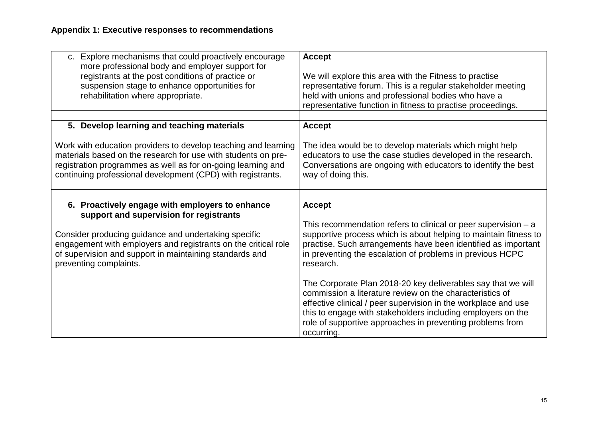| <b>Accept</b><br>We will explore this area with the Fitness to practise<br>representative forum. This is a regular stakeholder meeting<br>held with unions and professional bodies who have a<br>representative function in fitness to practise proceedings.                                                                                                                                                                                                                                                                                                                                                               |
|----------------------------------------------------------------------------------------------------------------------------------------------------------------------------------------------------------------------------------------------------------------------------------------------------------------------------------------------------------------------------------------------------------------------------------------------------------------------------------------------------------------------------------------------------------------------------------------------------------------------------|
| <b>Accept</b>                                                                                                                                                                                                                                                                                                                                                                                                                                                                                                                                                                                                              |
| The idea would be to develop materials which might help<br>educators to use the case studies developed in the research.<br>Conversations are ongoing with educators to identify the best<br>way of doing this.                                                                                                                                                                                                                                                                                                                                                                                                             |
|                                                                                                                                                                                                                                                                                                                                                                                                                                                                                                                                                                                                                            |
| <b>Accept</b><br>This recommendation refers to clinical or peer supervision $- a$<br>supportive process which is about helping to maintain fitness to<br>practise. Such arrangements have been identified as important<br>in preventing the escalation of problems in previous HCPC<br>research.<br>The Corporate Plan 2018-20 key deliverables say that we will<br>commission a literature review on the characteristics of<br>effective clinical / peer supervision in the workplace and use<br>this to engage with stakeholders including employers on the<br>role of supportive approaches in preventing problems from |
|                                                                                                                                                                                                                                                                                                                                                                                                                                                                                                                                                                                                                            |